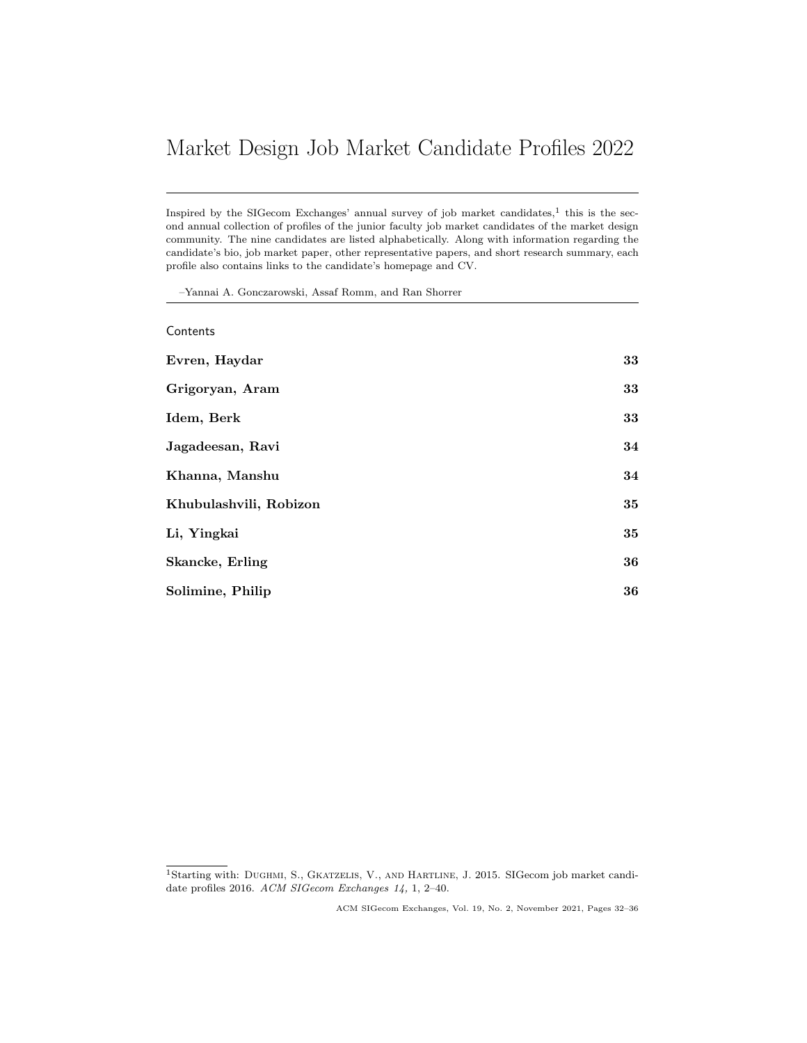# <span id="page-0-0"></span>Market Design Job Market Candidate Profiles 2022

Inspired by the SIGecom Exchanges' annual survey of job market candidates, $<sup>1</sup>$  this is the sec-</sup> ond annual collection of profiles of the junior faculty job market candidates of the market design community. The nine candidates are listed alphabetically. Along with information regarding the candidate's bio, job market paper, other representative papers, and short research summary, each profile also contains links to the candidate's homepage and CV.

–Yannai A. Gonczarowski, Assaf Romm, and Ran Shorrer

| Contents               |    |
|------------------------|----|
| Evren, Haydar          | 33 |
| Grigoryan, Aram        | 33 |
| Idem, Berk             | 33 |
| Jagadeesan, Ravi       | 34 |
| Khanna, Manshu         | 34 |
| Khubulashvili, Robizon | 35 |
| Li, Yingkai            | 35 |
| Skancke, Erling        | 36 |
| Solimine, Philip       | 36 |

<sup>1</sup>Starting with: DUGHMI, S., GKATZELIS, V., AND HARTLINE, J. 2015. SIGecom job market candidate profiles 2016. ACM SIGecom Exchanges 14, 1, 2–40.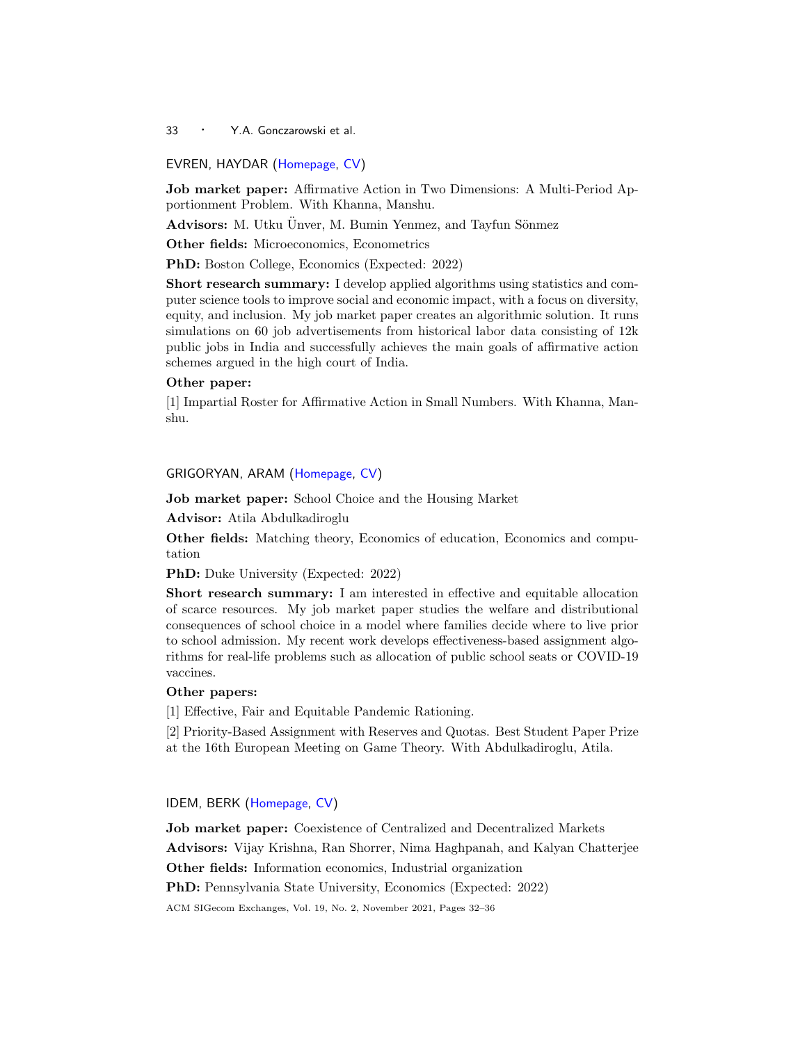<sup>33</sup> · Y.A. Gonczarowski et al.

#### <span id="page-1-0"></span>EVREN, HAYDAR [\(Homepage,](https://sites.google.com/view/haydar-evren/) [CV\)](https://sites.google.com/view/haydar-evren/cv?authuser=0)

Job market paper: Affirmative Action in Two Dimensions: A Multi-Period Apportionment Problem. With Khanna, Manshu.

Advisors: M. Utku Ünver, M. Bumin Yenmez, and Tayfun Sönmez

Other fields: Microeconomics, Econometrics

PhD: Boston College, Economics (Expected: 2022)

Short research summary: I develop applied algorithms using statistics and computer science tools to improve social and economic impact, with a focus on diversity, equity, and inclusion. My job market paper creates an algorithmic solution. It runs simulations on 60 job advertisements from historical labor data consisting of 12k public jobs in India and successfully achieves the main goals of affirmative action schemes argued in the high court of India.

#### Other paper:

[1] Impartial Roster for Affirmative Action in Small Numbers. With Khanna, Manshu.

## <span id="page-1-1"></span>GRIGORYAN, ARAM [\(Homepage,](https://sites.google.com/iset.ge/aramgrigoryan) [CV\)](https://drive.google.com/file/d/1qSEakanzt0jLENLwfBTim26ovJiEJMjc/view)

Job market paper: School Choice and the Housing Market

Advisor: Atila Abdulkadiroglu

Other fields: Matching theory, Economics of education, Economics and computation

PhD: Duke University (Expected: 2022)

Short research summary: I am interested in effective and equitable allocation of scarce resources. My job market paper studies the welfare and distributional consequences of school choice in a model where families decide where to live prior to school admission. My recent work develops effectiveness-based assignment algorithms for real-life problems such as allocation of public school seats or COVID-19 vaccines.

# Other papers:

[1] Effective, Fair and Equitable Pandemic Rationing.

[2] Priority-Based Assignment with Reserves and Quotas. Best Student Paper Prize at the 16th European Meeting on Game Theory. With Abdulkadiroglu, Atila.

# <span id="page-1-2"></span>IDEM, BERK [\(Homepage,](https://berkidem.com/) [CV\)](https://berkidem.com/documents/CV.pdf)

Job market paper: Coexistence of Centralized and Decentralized Markets Advisors: Vijay Krishna, Ran Shorrer, Nima Haghpanah, and Kalyan Chatterjee Other fields: Information economics, Industrial organization PhD: Pennsylvania State University, Economics (Expected: 2022) ACM SIGecom Exchanges, Vol. 19, No. 2, November 2021, Pages [32–](#page-0-0)36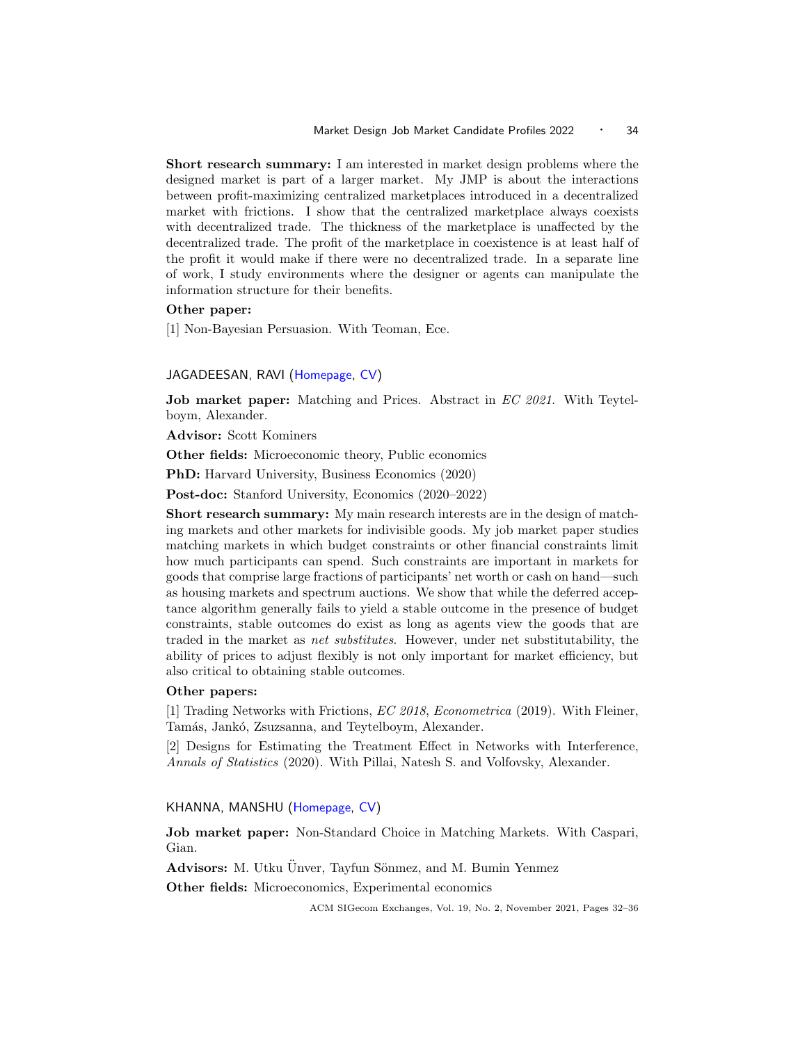Short research summary: I am interested in market design problems where the designed market is part of a larger market. My JMP is about the interactions between profit-maximizing centralized marketplaces introduced in a decentralized market with frictions. I show that the centralized marketplace always coexists with decentralized trade. The thickness of the marketplace is unaffected by the decentralized trade. The profit of the marketplace in coexistence is at least half of the profit it would make if there were no decentralized trade. In a separate line of work, I study environments where the designer or agents can manipulate the information structure for their benefits.

## Other paper:

[1] Non-Bayesian Persuasion. With Teoman, Ece.

#### <span id="page-2-0"></span>JAGADEESAN, RAVI [\(Homepage,](https://www.sites.google.com/site/ravijagadeesan) [CV\)](https://drive.google.com/file/d/1RC-4cG3xUfvBF2r8GQUGh5ODK-34nwIt/view?usp=sharing)

Job market paper: Matching and Prices. Abstract in EC 2021. With Teytelboym, Alexander.

Advisor: Scott Kominers

Other fields: Microeconomic theory, Public economics

PhD: Harvard University, Business Economics (2020)

Post-doc: Stanford University, Economics (2020–2022)

Short research summary: My main research interests are in the design of matching markets and other markets for indivisible goods. My job market paper studies matching markets in which budget constraints or other financial constraints limit how much participants can spend. Such constraints are important in markets for goods that comprise large fractions of participants' net worth or cash on hand—such as housing markets and spectrum auctions. We show that while the deferred acceptance algorithm generally fails to yield a stable outcome in the presence of budget constraints, stable outcomes do exist as long as agents view the goods that are traded in the market as net substitutes. However, under net substitutability, the ability of prices to adjust flexibly is not only important for market efficiency, but also critical to obtaining stable outcomes.

#### Other papers:

[1] Trading Networks with Frictions, EC 2018, Econometrica (2019). With Fleiner, Tamás, Jankó, Zsuzsanna, and Teytelboym, Alexander.

[2] Designs for Estimating the Treatment Effect in Networks with Interference, Annals of Statistics (2020). With Pillai, Natesh S. and Volfovsky, Alexander.

#### <span id="page-2-1"></span>KHANNA, MANSHU [\(Homepage,](https://www.manshukhanna.com/) [CV\)](https://drive.google.com/file/d/10nYiOKbx4tIykovtZAMvZq-2u7NDGiUP/view?usp=sharing)

Job market paper: Non-Standard Choice in Matching Markets. With Caspari, Gian.

Advisors: M. Utku Ünver, Tayfun Sönmez, and M. Bumin Yenmez

Other fields: Microeconomics, Experimental economics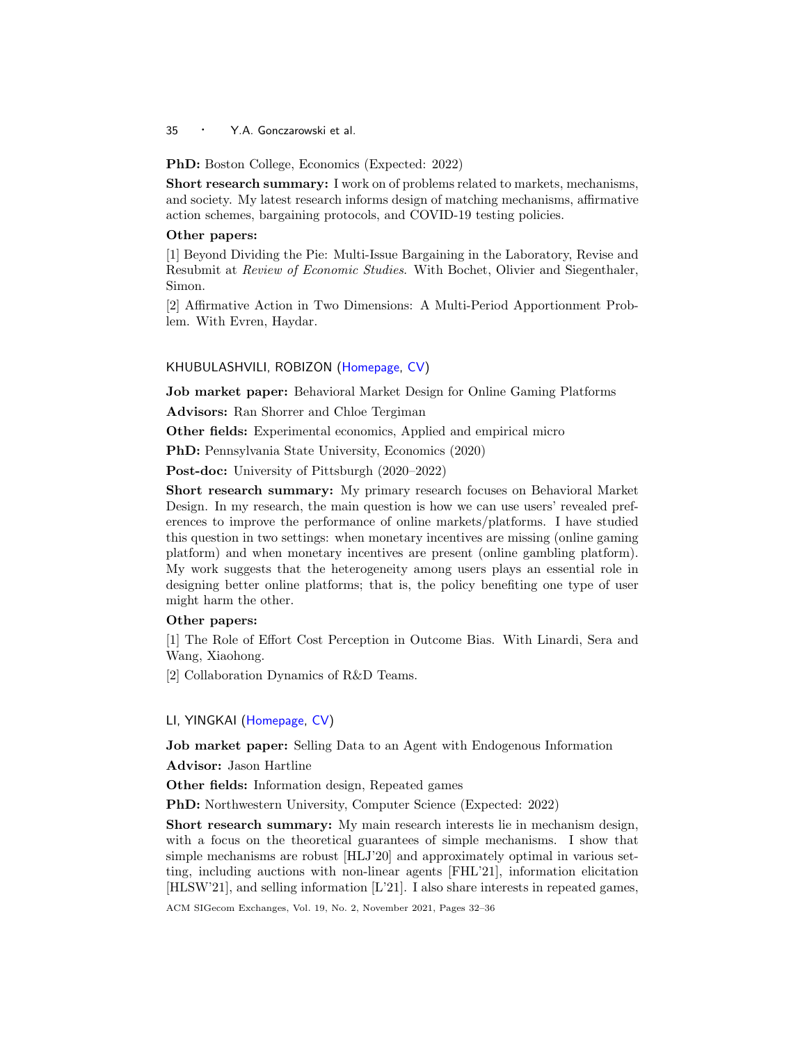<sup>35</sup> · Y.A. Gonczarowski et al.

PhD: Boston College, Economics (Expected: 2022)

Short research summary: I work on of problems related to markets, mechanisms, and society. My latest research informs design of matching mechanisms, affirmative action schemes, bargaining protocols, and COVID-19 testing policies.

## Other papers:

[1] Beyond Dividing the Pie: Multi-Issue Bargaining in the Laboratory, Revise and Resubmit at Review of Economic Studies. With Bochet, Olivier and Siegenthaler, Simon.

[2] Affirmative Action in Two Dimensions: A Multi-Period Apportionment Problem. With Evren, Haydar.

## <span id="page-3-0"></span>KHUBULASHVILI, ROBIZON [\(Homepage,](https://www.robizonk.com/) [CV\)](https://www.robizonk.com/cv)

Job market paper: Behavioral Market Design for Online Gaming Platforms

Advisors: Ran Shorrer and Chloe Tergiman

Other fields: Experimental economics, Applied and empirical micro

PhD: Pennsylvania State University, Economics (2020)

Post-doc: University of Pittsburgh (2020–2022)

Short research summary: My primary research focuses on Behavioral Market Design. In my research, the main question is how we can use users' revealed preferences to improve the performance of online markets/platforms. I have studied this question in two settings: when monetary incentives are missing (online gaming platform) and when monetary incentives are present (online gambling platform). My work suggests that the heterogeneity among users plays an essential role in designing better online platforms; that is, the policy benefiting one type of user might harm the other.

#### Other papers:

[1] The Role of Effort Cost Perception in Outcome Bias. With Linardi, Sera and Wang, Xiaohong.

[2] Collaboration Dynamics of R&D Teams.

#### <span id="page-3-1"></span>LI, YINGKAI [\(Homepage,](https://yingkai-li.github.io/homepage/) [CV\)](https://yingkai-li.github.io/homepage/Yingkai_Li_CV.pdf)

Job market paper: Selling Data to an Agent with Endogenous Information

Advisor: Jason Hartline

Other fields: Information design, Repeated games

PhD: Northwestern University, Computer Science (Expected: 2022)

Short research summary: My main research interests lie in mechanism design, with a focus on the theoretical guarantees of simple mechanisms. I show that simple mechanisms are robust [HLJ'20] and approximately optimal in various setting, including auctions with non-linear agents [FHL'21], information elicitation [HLSW'21], and selling information [L'21]. I also share interests in repeated games,